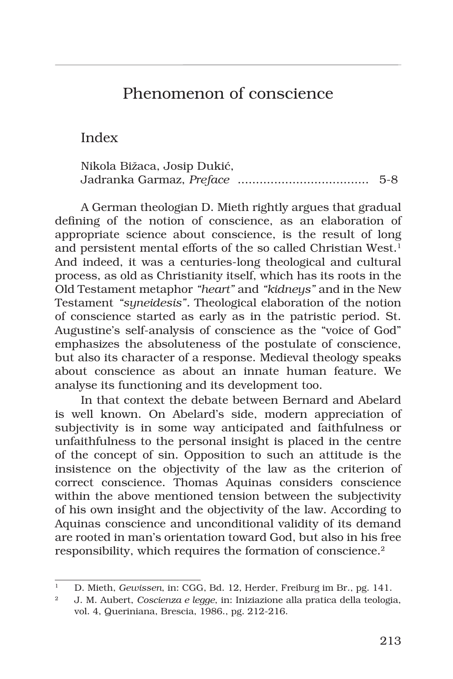# Phenomenon of conscience

Index

| Nikola Bižaca, Josip Dukić, |       |
|-----------------------------|-------|
|                             | $5-8$ |

A German theologian D. Mieth rightly argues that gradual defining of the notion of conscience, as an elaboration of appropriate science about conscience, is the result of long and persistent mental efforts of the so called Christian West.<sup>1</sup> And indeed, it was a centuries-long theological and cultural process, as old as Christianity itself, which has its roots in the Old Testament metaphor *"heart"* and *"kidneys"* and in the New Testament *"syneidesis".* Theological elaboration of the notion of conscience started as early as in the patristic period. St. Augustine's self-analysis of conscience as the "voice of God" emphasizes the absoluteness of the postulate of conscience, but also its character of a response. Medieval theology speaks about conscience as about an innate human feature. We analyse its functioning and its development too.

In that context the debate between Bernard and Abelard is well known. On Abelard's side, modern appreciation of subjectivity is in some way anticipated and faithfulness or unfaithfulness to the personal insight is placed in the centre of the concept of sin. Opposition to such an attitude is the insistence on the objectivity of the law as the criterion of correct conscience. Thomas Aquinas considers conscience within the above mentioned tension between the subjectivity of his own insight and the objectivity of the law. According to Aquinas conscience and unconditional validity of its demand are rooted in man's orientation toward God, but also in his free responsibility, which requires the formation of conscience.<sup>2</sup>

<sup>1</sup> D. Mieth, *Gewissen*, in: CGG, Bd. 12, Herder, Freiburg im Br., pg. 141.

<sup>2</sup> J. M. Aubert, *Coscienza e legge*, in: Iniziazione alla pratica della teologia, vol. 4, Queriniana, Brescia, 1986., pg. 212-216.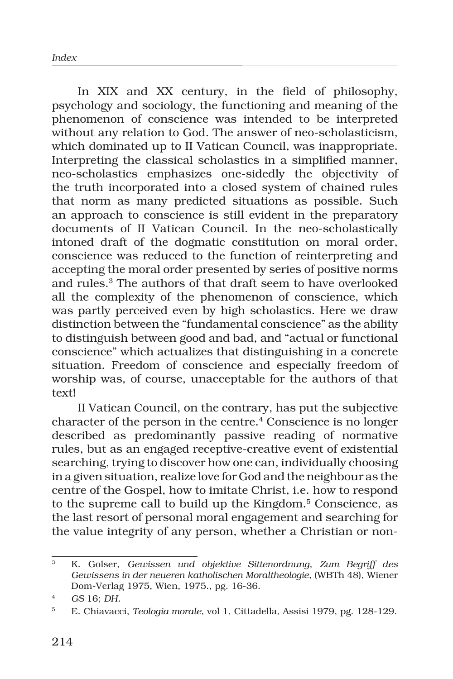In XIX and XX century, in the field of philosophy, psychology and sociology, the functioning and meaning of the phenomenon of conscience was intended to be interpreted without any relation to God. The answer of neo-scholasticism, which dominated up to II Vatican Council, was inappropriate. Interpreting the classical scholastics in a simplified manner, neo-scholastics emphasizes one-sidedly the objectivity of the truth incorporated into a closed system of chained rules that norm as many predicted situations as possible. Such an approach to conscience is still evident in the preparatory documents of II Vatican Council. In the neo-scholastically intoned draft of the dogmatic constitution on moral order, conscience was reduced to the function of reinterpreting and accepting the moral order presented by series of positive norms and rules.<sup>3</sup> The authors of that draft seem to have overlooked all the complexity of the phenomenon of conscience, which was partly perceived even by high scholastics. Here we draw distinction between the "fundamental conscience" as the ability to distinguish between good and bad, and "actual or functional conscience" which actualizes that distinguishing in a concrete situation. Freedom of conscience and especially freedom of worship was, of course, unacceptable for the authors of that text!

II Vatican Council, on the contrary, has put the subjective character of the person in the centre.<sup>4</sup> Conscience is no longer described as predominantly passive reading of normative rules, but as an engaged receptive-creative event of existential searching, trying to discover how one can, individually choosing in a given situation, realize love for God and the neighbour as the centre of the Gospel, how to imitate Christ, i.e. how to respond to the supreme call to build up the Kingdom.<sup>5</sup> Conscience, as the last resort of personal moral engagement and searching for the value integrity of any person, whether a Christian or non-

<sup>3</sup> K. Golser, *Gewissen und objektive Sittenordnung*, *Zum Begriff des Gewissens in der neueren katholischen Moraltheologie*, (WBTh 48), Wiener Dom-Verlag 1975, Wien, 1975., pg. 16-36.

<sup>4</sup> *GS* 16; *DH.*

<sup>5</sup> E. Chiavacci, *Teologia morale*, vol 1, Cittadella, Assisi 1979, pg. 128-129.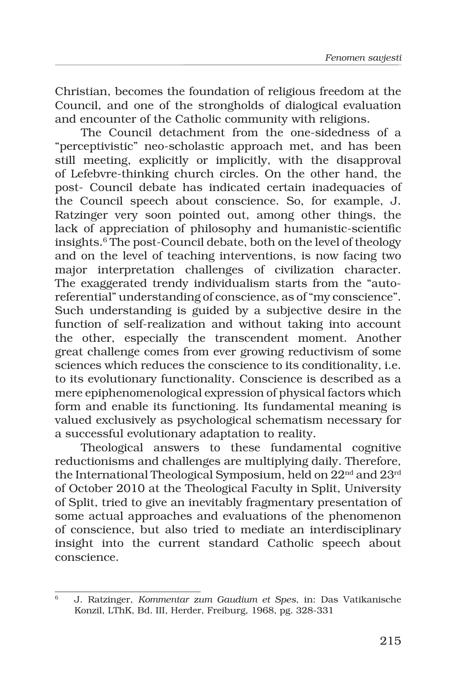Christian, becomes the foundation of religious freedom at the Council, and one of the strongholds of dialogical evaluation and encounter of the Catholic community with religions.

The Council detachment from the one-sidedness of a "perceptivistic" neo-scholastic approach met, and has been still meeting, explicitly or implicitly, with the disapproval of Lefebvre-thinking church circles. On the other hand, the post- Council debate has indicated certain inadequacies of the Council speech about conscience. So, for example, J. Ratzinger very soon pointed out, among other things, the lack of appreciation of philosophy and humanistic-scientific insights.<sup>6</sup> The post-Council debate, both on the level of theology and on the level of teaching interventions, is now facing two major interpretation challenges of civilization character. The exaggerated trendy individualism starts from the "autoreferential" understanding of conscience, as of "my conscience". Such understanding is guided by a subjective desire in the function of self-realization and without taking into account the other, especially the transcendent moment. Another great challenge comes from ever growing reductivism of some sciences which reduces the conscience to its conditionality, i.e. to its evolutionary functionality. Conscience is described as a mere epiphenomenological expression of physical factors which form and enable its functioning. Its fundamental meaning is valued exclusively as psychological schematism necessary for a successful evolutionary adaptation to reality.

Theological answers to these fundamental cognitive reductionisms and challenges are multiplying daily. Therefore, the International Theological Symposium, held on 22<sup>nd</sup> and 23<sup>rd</sup> of October 2010 at the Theological Faculty in Split, University of Split, tried to give an inevitably fragmentary presentation of some actual approaches and evaluations of the phenomenon of conscience, but also tried to mediate an interdisciplinary insight into the current standard Catholic speech about conscience.

<sup>6</sup> J. Ratzinger, *Kommentar zum Gaudium et Spes*, in: Das Vatikanische Konzil, LThK, Bd. III, Herder, Freiburg, 1968, pg. 328-331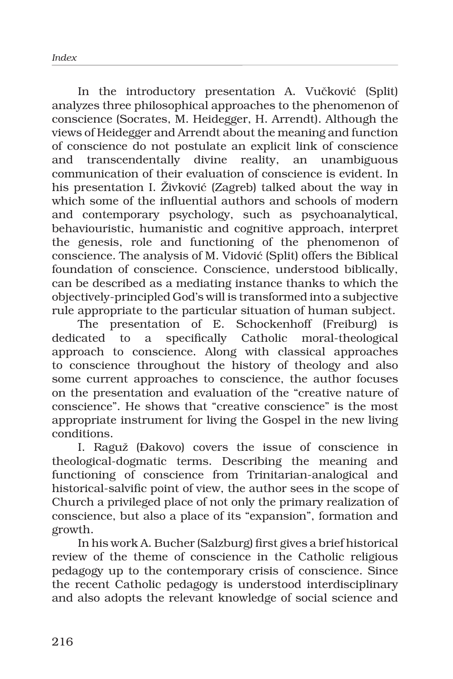In the introductory presentation A. Vučković (Split) analyzes three philosophical approaches to the phenomenon of conscience (Socrates, M. Heidegger, H. Arrendt). Although the views of Heidegger and Arrendt about the meaning and function of conscience do not postulate an explicit link of conscience and transcendentally divine reality, an unambiguous communication of their evaluation of conscience is evident. In his presentation I. Živković (Zagreb) talked about the way in which some of the influential authors and schools of modern and contemporary psychology, such as psychoanalytical, behaviouristic, humanistic and cognitive approach, interpret the genesis, role and functioning of the phenomenon of conscience. The analysis of M. Vidović (Split) offers the Biblical foundation of conscience. Conscience, understood biblically, can be described as a mediating instance thanks to which the objectively-principled God's will is transformed into a subjective rule appropriate to the particular situation of human subject.

The presentation of E. Schockenhoff (Freiburg) is dedicated to a specifically Catholic moral-theological approach to conscience. Along with classical approaches to conscience throughout the history of theology and also some current approaches to conscience, the author focuses on the presentation and evaluation of the "creative nature of conscience". He shows that "creative conscience" is the most appropriate instrument for living the Gospel in the new living conditions.

I. Raguž (Đakovo) covers the issue of conscience in theological-dogmatic terms. Describing the meaning and functioning of conscience from Trinitarian-analogical and historical-salvific point of view, the author sees in the scope of Church a privileged place of not only the primary realization of conscience, but also a place of its "expansion", formation and growth.

In his work A. Bucher (Salzburg) first gives a brief historical review of the theme of conscience in the Catholic religious pedagogy up to the contemporary crisis of conscience. Since the recent Catholic pedagogy is understood interdisciplinary and also adopts the relevant knowledge of social science and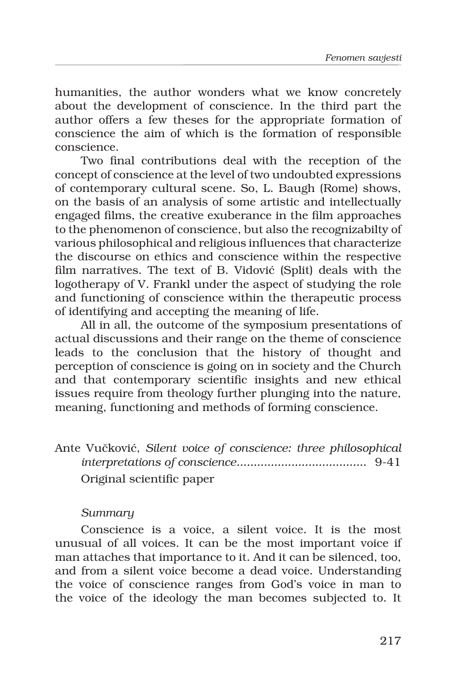humanities, the author wonders what we know concretely about the development of conscience. In the third part the author offers a few theses for the appropriate formation of conscience the aim of which is the formation of responsible conscience.

Two final contributions deal with the reception of the concept of conscience at the level of two undoubted expressions of contemporary cultural scene. So, L. Baugh (Rome) shows, on the basis of an analysis of some artistic and intellectually engaged films, the creative exuberance in the film approaches to the phenomenon of conscience, but also the recognizabilty of various philosophical and religious influences that characterize the discourse on ethics and conscience within the respective film narratives. The text of B. Vidović (Split) deals with the logotherapy of V. Frankl under the aspect of studying the role and functioning of conscience within the therapeutic process of identifying and accepting the meaning of life.

All in all, the outcome of the symposium presentations of actual discussions and their range on the theme of conscience leads to the conclusion that the history of thought and perception of conscience is going on in society and the Church and that contemporary scientific insights and new ethical issues require from theology further plunging into the nature, meaning, functioning and methods of forming conscience.

|  |                           | Ante Vučković, Silent voice of conscience: three philosophical |  |  |
|--|---------------------------|----------------------------------------------------------------|--|--|
|  |                           |                                                                |  |  |
|  | Original scientific paper |                                                                |  |  |

# *Summary*

Conscience is a voice, a silent voice. It is the most unusual of all voices. It can be the most important voice if man attaches that importance to it. And it can be silenced, too, and from a silent voice become a dead voice. Understanding the voice of conscience ranges from God's voice in man to the voice of the ideology the man becomes subjected to. It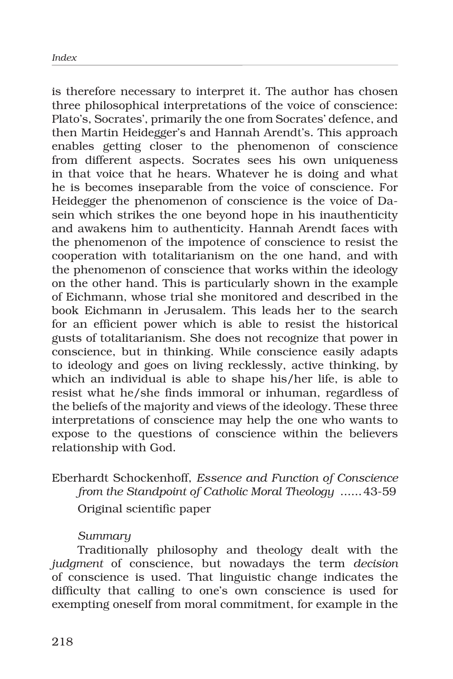is therefore necessary to interpret it. The author has chosen three philosophical interpretations of the voice of conscience: Plato's, Socrates', primarily the one from Socrates' defence, and then Martin Heidegger's and Hannah Arendt's. This approach enables getting closer to the phenomenon of conscience from different aspects. Socrates sees his own uniqueness in that voice that he hears. Whatever he is doing and what he is becomes inseparable from the voice of conscience. For Heidegger the phenomenon of conscience is the voice of Dasein which strikes the one beyond hope in his inauthenticity and awakens him to authenticity. Hannah Arendt faces with the phenomenon of the impotence of conscience to resist the cooperation with totalitarianism on the one hand, and with the phenomenon of conscience that works within the ideology on the other hand. This is particularly shown in the example of Eichmann, whose trial she monitored and described in the book Eichmann in Jerusalem. This leads her to the search for an efficient power which is able to resist the historical gusts of totalitarianism. She does not recognize that power in conscience, but in thinking. While conscience easily adapts to ideology and goes on living recklessly, active thinking, by which an individual is able to shape his/her life, is able to resist what he/she finds immoral or inhuman, regardless of the beliefs of the majority and views of the ideology. These three interpretations of conscience may help the one who wants to expose to the questions of conscience within the believers relationship with God.

Eberhardt Schockenhoff, *Essence and Function of Conscience from the Standpoint of Catholic Moral Theology* ......43-59 Original scientific paper

# *Summary*

Traditionally philosophy and theology dealt with the *judgment* of conscience, but nowadays the term *decision*  of conscience is used. That linguistic change indicates the difficulty that calling to one's own conscience is used for exempting oneself from moral commitment, for example in the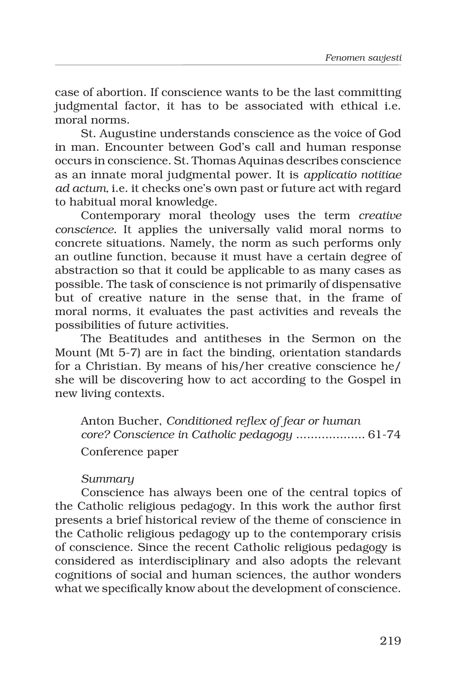case of abortion. If conscience wants to be the last committing judgmental factor, it has to be associated with ethical i.e. moral norms.

St. Augustine understands conscience as the voice of God in man. Encounter between God's call and human response occurs in conscience. St. Thomas Aquinas describes conscience as an innate moral judgmental power. It is *applicatio notitiae ad actum,* i.e. it checks one's own past or future act with regard to habitual moral knowledge.

Contemporary moral theology uses the term *creative conscience.* It applies the universally valid moral norms to concrete situations. Namely, the norm as such performs only an outline function, because it must have a certain degree of abstraction so that it could be applicable to as many cases as possible. The task of conscience is not primarily of dispensative but of creative nature in the sense that, in the frame of moral norms, it evaluates the past activities and reveals the possibilities of future activities.

The Beatitudes and antitheses in the Sermon on the Mount (Mt 5-7) are in fact the binding, orientation standards for a Christian. By means of his/her creative conscience he/ she will be discovering how to act according to the Gospel in new living contexts.

Anton Bucher, *Conditioned reflex of fear or human core? Conscience in Catholic pedagogy* ................... 61-74 Conference paper

### *Summary*

Conscience has always been one of the central topics of the Catholic religious pedagogy. In this work the author first presents a brief historical review of the theme of conscience in the Catholic religious pedagogy up to the contemporary crisis of conscience. Since the recent Catholic religious pedagogy is considered as interdisciplinary and also adopts the relevant cognitions of social and human sciences, the author wonders what we specifically know about the development of conscience.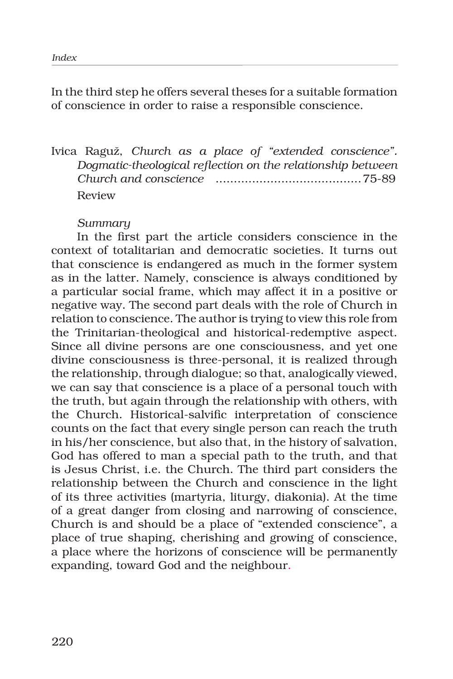In the third step he offers several theses for a suitable formation of conscience in order to raise a responsible conscience.

Ivica Raguž, *Church as a place of "extended conscience". Dogmatic-theological reflection on the relationship between Church and conscience* ........................................75-89 Review

### *Summary*

In the first part the article considers conscience in the context of totalitarian and democratic societies. It turns out that conscience is endangered as much in the former system as in the latter. Namely, conscience is always conditioned by a particular social frame, which may affect it in a positive or negative way. The second part deals with the role of Church in relation to conscience. The author is trying to view this role from the Trinitarian-theological and historical-redemptive aspect. Since all divine persons are one consciousness, and yet one divine consciousness is three-personal, it is realized through the relationship, through dialogue; so that, analogically viewed, we can say that conscience is a place of a personal touch with the truth, but again through the relationship with others, with the Church. Historical-salvific interpretation of conscience counts on the fact that every single person can reach the truth in his/her conscience, but also that, in the history of salvation, God has offered to man a special path to the truth, and that is Jesus Christ, i.e. the Church. The third part considers the relationship between the Church and conscience in the light of its three activities (martyria, liturgy, diakonia). At the time of a great danger from closing and narrowing of conscience, Church is and should be a place of "extended conscience", a place of true shaping, cherishing and growing of conscience, a place where the horizons of conscience will be permanently expanding, toward God and the neighbour.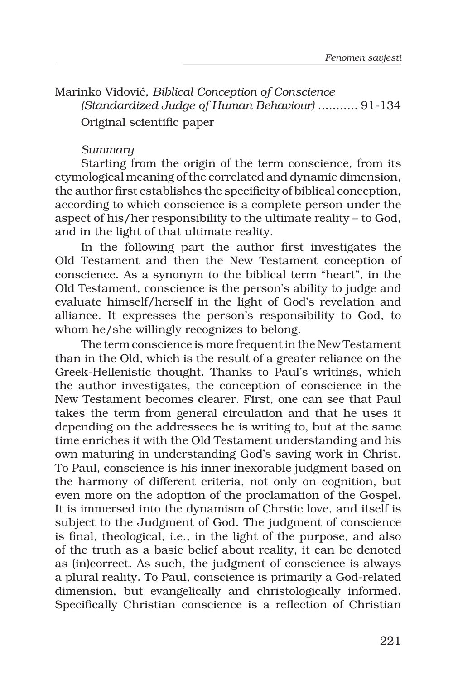Marinko Vidović, *Biblical Conception of Conscience (Standardized Judge of Human Behaviour)* ........... 91-134 Original scientific paper

## *Summary*

Starting from the origin of the term conscience, from its etymological meaning of the correlated and dynamic dimension, the author first establishes the specificity of biblical conception, according to which conscience is a complete person under the aspect of his/her responsibility to the ultimate reality – to God, and in the light of that ultimate reality.

In the following part the author first investigates the Old Testament and then the New Testament conception of conscience. As a synonym to the biblical term "heart", in the Old Testament, conscience is the person's ability to judge and evaluate himself/herself in the light of God's revelation and alliance. It expresses the person's responsibility to God, to whom he/she willingly recognizes to belong.

The term conscience is more frequent in the New Testament than in the Old, which is the result of a greater reliance on the Greek-Hellenistic thought. Thanks to Paul's writings, which the author investigates, the conception of conscience in the New Testament becomes clearer. First, one can see that Paul takes the term from general circulation and that he uses it depending on the addressees he is writing to, but at the same time enriches it with the Old Testament understanding and his own maturing in understanding God's saving work in Christ. To Paul, conscience is his inner inexorable judgment based on the harmony of different criteria, not only on cognition, but even more on the adoption of the proclamation of the Gospel. It is immersed into the dynamism of Chrstic love, and itself is subject to the Judgment of God. The judgment of conscience is final, theological, i.e., in the light of the purpose, and also of the truth as a basic belief about reality, it can be denoted as (in)correct. As such, the judgment of conscience is always a plural reality. To Paul, conscience is primarily a God-related dimension, but evangelically and christologically informed. Specifically Christian conscience is a reflection of Christian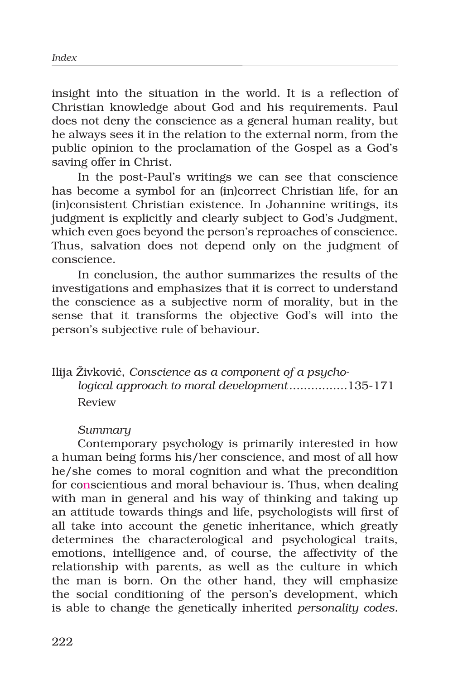insight into the situation in the world. It is a reflection of Christian knowledge about God and his requirements. Paul does not deny the conscience as a general human reality, but he always sees it in the relation to the external norm, from the public opinion to the proclamation of the Gospel as a God's saving offer in Christ.

In the post-Paul's writings we can see that conscience has become a symbol for an (in)correct Christian life, for an (in)consistent Christian existence. In Johannine writings, its judgment is explicitly and clearly subject to God's Judgment, which even goes beyond the person's reproaches of conscience. Thus, salvation does not depend only on the judgment of conscience.

In conclusion, the author summarizes the results of the investigations and emphasizes that it is correct to understand the conscience as a subjective norm of morality, but in the sense that it transforms the objective God's will into the person's subjective rule of behaviour.

# Ilija Živković, *Conscience as a component of a psychological approach to moral development*................135-171 Review

# *Summary*

Contemporary psychology is primarily interested in how a human being forms his/her conscience, and most of all how he/she comes to moral cognition and what the precondition for conscientious and moral behaviour is. Thus, when dealing with man in general and his way of thinking and taking up an attitude towards things and life, psychologists will first of all take into account the genetic inheritance, which greatly determines the characterological and psychological traits, emotions, intelligence and, of course, the affectivity of the relationship with parents, as well as the culture in which the man is born. On the other hand, they will emphasize the social conditioning of the person's development, which is able to change the genetically inherited *personality codes.*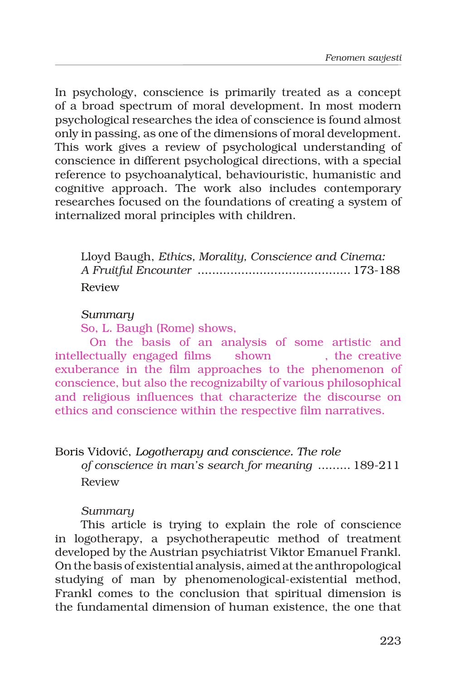In psychology, conscience is primarily treated as a concept of a broad spectrum of moral development. In most modern psychological researches the idea of conscience is found almost only in passing, as one of the dimensions of moral development. This work gives a review of psychological understanding of conscience in different psychological directions, with a special reference to psychoanalytical, behaviouristic, humanistic and cognitive approach. The work also includes contemporary researches focused on the foundations of creating a system of internalized moral principles with children.

Lloyd Baugh, *Ethics, Morality, Conscience and Cinema: A Fruitful Encounter* .......................................... 173-188 Review

#### *Summary*

So, L. Baugh (Rome) shows,

 On the basis of an analysis of some artistic and intellectually engaged films shown , the creative exuberance in the film approaches to the phenomenon of conscience, but also the recognizabilty of various philosophical and religious influences that characterize the discourse on ethics and conscience within the respective film narratives.

#### Boris Vidović, *Logotherapy and conscience. The role*

*of conscience in man's search for meaning* ......... 189-211 Review

### *Summary*

This article is trying to explain the role of conscience in logotherapy, a psychotherapeutic method of treatment developed by the Austrian psychiatrist Viktor Emanuel Frankl. On the basis of existential analysis, aimed at the anthropological studying of man by phenomenological-existential method, Frankl comes to the conclusion that spiritual dimension is the fundamental dimension of human existence, the one that